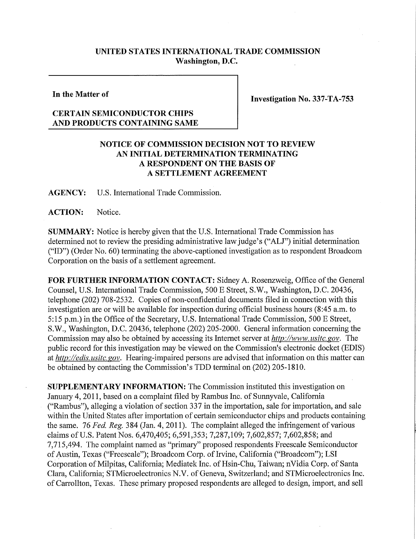## **UNITED STATES INTERNATIONAL TRADE COMMISSION Washington, D.C.**

**In the Matter of** 

**Investigation No. 337-TA-753** 

## **CERTAIN SEMICONDUCTOR CHIPS AND PRODUCTS CONTAINING SAME**

## **NOTICE OF COMMISSION DECISION NOT TO REVIEW AN INITIAL DETERMINATION TERMINATING A RESPONDENT ON THE BASIS OF A SETTLEMENT AGREEMENT**

**AGENCY:** U.S. International Trade Commission.

**ACTION:** Notice.

**SUMMARY:** Notice is hereby given that the U.S. International Trade Commission has determined not to review the presiding administrative law judge's ("ALJ") initial determination ("ID") (Order No. 60) terminating the above-captioned investigation as to respondent Broadcom Corporation on the basis of a settlement agreement.

**FOR FURTHER INFORMATION CONTACT:** Sidney A. Rosenzweig, Office of the General Counsel, U.S. International Trade Commission, 500 E Street, S.W., Washington, D.C. 20436, telephone (202) 708-2532. Copies of non-confidential documents filed in connection with this investigation are or will be available for inspection during official business hours (8:45 a.m. to 5:15 p.m.) in the Office of the Secretary, U.S. International Trade Commission, 500 E Street, S.W., Washington, D.C. 20436, telephone (202) 205-2000. General information concerning the Commission may also be obtained by accessing its Internet server at *http://www. usitc. gov.* The public record for this investigation may be viewed on the Commission's electronic docket (EDIS) at *http://edis. usitc. gov.* Hearing-impaired persons are advised that information on this matter can be obtained by contacting the Commission's TDD terminal on (202) 205-1810.

**SUPPLEMENTARY INFORMATION:** The Commission instituted this investigation on January 4, 2011, based on a complaint filed by Rambus Inc. of Sunnyvale, California ("Rambus"), alleging a violation of section 337 in the importation, sale for importation, and sale within the United States after importation of certain semiconductor chips and products containing the same. 76 *Fed. Reg.* 384 (Jan. 4, 2011). The complaint alleged the infringement of various claims of U.S. Patent Nos. 6,470,405; 6,591,353; 7,287,109; 7,602,857; 7,602,858; and 7,715,494. The complaint named as "primary" proposed respondents Freescale Semiconductor of Austin, Texas ("Freescale"); Broadcom Corp. of Irvine, California ("Broadcom"); LSI Corporation of Milpitas, California; Mediatek Inc. of Hsin-Chu, Taiwan; nVidia Corp. of Santa Clara, California; STMicroelectronics N.V. of Geneva, Switzerland; and STMicroelectronics Inc. of Carrollton, Texas. These primary proposed respondents are alleged to design, import, and sell